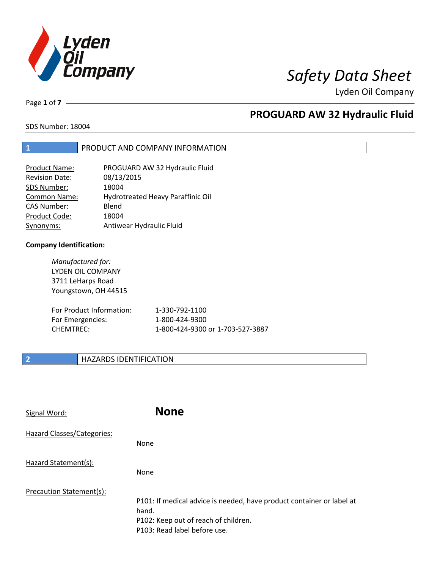

Page **1** of **7**

## **PROGUARD AW 32 Hydraulic Fluid**

SDS Number: 18004

### **1** PRODUCT AND COMPANY INFORMATION

| PROGUARD AW 32 Hydraulic Fluid    |
|-----------------------------------|
| 08/13/2015                        |
| 18004                             |
| Hydrotreated Heavy Paraffinic Oil |
| Blend                             |
| 18004                             |
| Antiwear Hydraulic Fluid          |
|                                   |

### **Company Identification:**

*Manufactured for:* LYDEN OIL COMPANY 3711 LeHarps Road Youngstown, OH 44515

| For Product Information: | 1-330-792-1100                   |
|--------------------------|----------------------------------|
| For Emergencies:         | 1-800-424-9300                   |
| CHEMTREC:                | 1-800-424-9300 or 1-703-527-3887 |

### **2 HAZARDS IDENTIFICATION**

| Signal Word:               | <b>None</b>                                                                                                                                            |
|----------------------------|--------------------------------------------------------------------------------------------------------------------------------------------------------|
| Hazard Classes/Categories: | None                                                                                                                                                   |
| Hazard Statement(s):       | None                                                                                                                                                   |
| Precaution Statement(s):   | P101: If medical advice is needed, have product container or label at<br>hand.<br>P102: Keep out of reach of children.<br>P103: Read label before use. |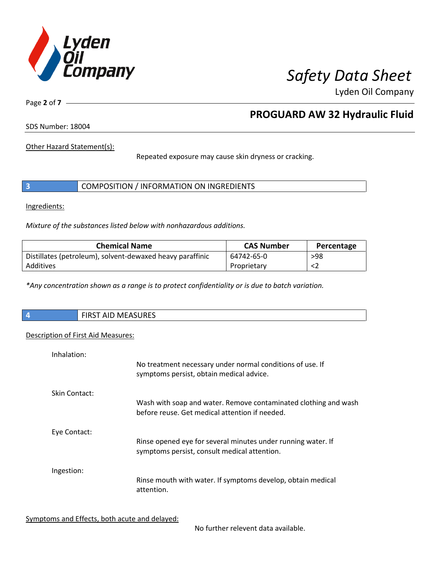

Page **2** of **7**

## **PROGUARD AW 32 Hydraulic Fluid**

SDS Number: 18004

Other Hazard Statement(s):

Repeated exposure may cause skin dryness or cracking.

|  | COMPOSITION / INFORMATION ON INGREDIENTS |  |
|--|------------------------------------------|--|
|--|------------------------------------------|--|

Ingredients:

*Mixture of the substances listed below with nonhazardous additions.*

| <b>Chemical Name</b>                                      | <b>CAS Number</b> | Percentage |
|-----------------------------------------------------------|-------------------|------------|
| Distillates (petroleum), solvent-dewaxed heavy paraffinic | 64742-65-0        | >98        |
| Additives                                                 | Proprietary       |            |

*\*Any concentration shown as a range is to protect confidentiality or is due to batch variation.*

| $\sqrt{4}$ | $\mathbf{A}$<br><b>PIDCT</b><br>.<br>AID MEASURES<br>כחו־ |
|------------|-----------------------------------------------------------|
|            |                                                           |

### Description of First Aid Measures:

| Inhalation:   | No treatment necessary under normal conditions of use. If<br>symptoms persist, obtain medical advice.             |
|---------------|-------------------------------------------------------------------------------------------------------------------|
| Skin Contact: | Wash with soap and water. Remove contaminated clothing and wash<br>before reuse. Get medical attention if needed. |
| Eye Contact:  | Rinse opened eye for several minutes under running water. If<br>symptoms persist, consult medical attention.      |
| Ingestion:    | Rinse mouth with water. If symptoms develop, obtain medical<br>attention.                                         |

Symptoms and Effects, both acute and delayed:

No further relevent data available.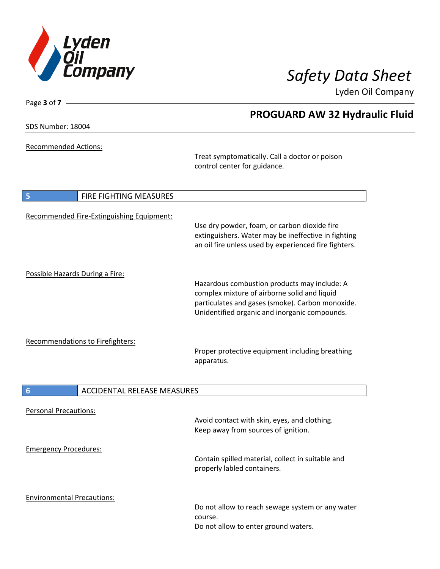

**PROGUARD AW 32 Hydraulic Fluid**

Lyden Oil Company

SDS Number: 18004

Page **3** of **7**

Recommended Actions:

Treat symptomatically. Call a doctor or poison control center for guidance.

| 5<br>FIRE FIGHTING MEASURES               |                                                                                                                                                                                                   |
|-------------------------------------------|---------------------------------------------------------------------------------------------------------------------------------------------------------------------------------------------------|
| Recommended Fire-Extinguishing Equipment: | Use dry powder, foam, or carbon dioxide fire<br>extinguishers. Water may be ineffective in fighting<br>an oil fire unless used by experienced fire fighters.                                      |
| Possible Hazards During a Fire:           | Hazardous combustion products may include: A<br>complex mixture of airborne solid and liquid<br>particulates and gases (smoke). Carbon monoxide.<br>Unidentified organic and inorganic compounds. |
| <b>Recommendations to Firefighters:</b>   | Proper protective equipment including breathing<br>apparatus.                                                                                                                                     |
| 6<br><b>ACCIDENTAL RELEASE MEASURES</b>   |                                                                                                                                                                                                   |
| <b>Personal Precautions:</b>              | Avoid contact with skin, eyes, and clothing.<br>Keep away from sources of ignition.                                                                                                               |
| <b>Emergency Procedures:</b>              | Contain spilled material, collect in suitable and<br>properly labled containers.                                                                                                                  |
| <b>Environmental Precautions:</b>         | Do not allow to reach sewage system or any water<br>course.<br>Do not allow to enter ground waters.                                                                                               |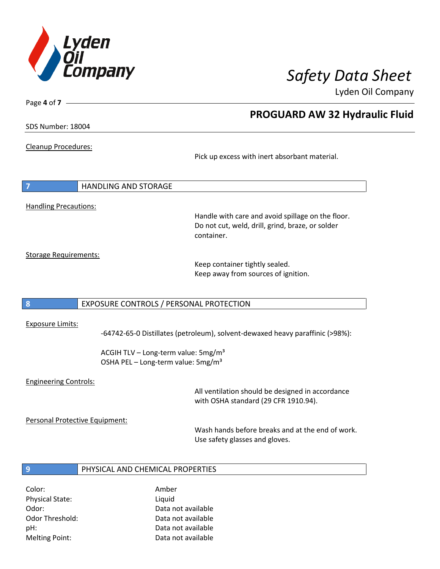

Page **4** of **7**

## **PROGUARD AW 32 Hydraulic Fluid**

SDS Number: 18004

Cleanup Procedures:

Pick up excess with inert absorbant material.

| $\overline{7}$               | HANDLING AND STORAGE |
|------------------------------|----------------------|
|                              |                      |
| <b>Handling Precautions:</b> |                      |

Handle with care and avoid spillage on the floor. Do not cut, weld, drill, grind, braze, or solder container.

Storage Requirements:

Keep container tightly sealed. Keep away from sources of ignition.

### **8** EXPOSURE CONTROLS / PERSONAL PROTECTION

### Exposure Limits:

-64742-65-0 Distillates (petroleum), solvent-dewaxed heavy paraffinic (>98%):

ACGIH TLV – Long-term value: 5mg/m<sup>3</sup> OSHA PEL - Long-term value: 5mg/m<sup>3</sup>

### Engineering Controls:

All ventilation should be designed in accordance with OSHA standard (29 CFR 1910.94).

Personal Protective Equipment:

Wash hands before breaks and at the end of work. Use safety glasses and gloves.

### **9** PHYSICAL AND CHEMICAL PROPERTIES

Color: Amber Physical State: Liquid Melting Point: Data not available

Odor: Data not available Odor Threshold: Data not available pH: Data not available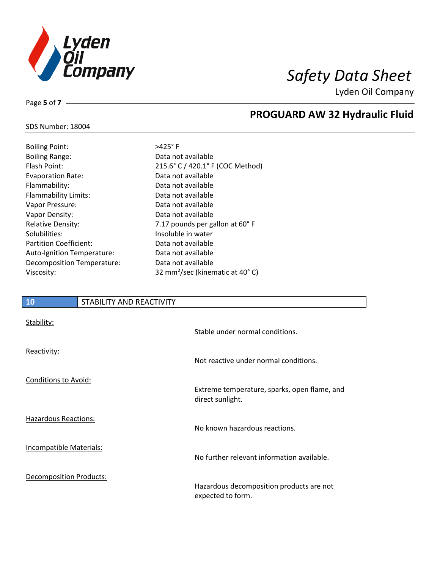

## **PROGUARD AW 32 Hydraulic Fluid**

### SDS Number: 18004

Page **5** of **7**

| <b>Boiling Point:</b>         | $>425^\circ$ F    |
|-------------------------------|-------------------|
| <b>Boiling Range:</b>         | Data no           |
| Flash Point:                  | $215.6^{\circ}$ C |
| <b>Evaporation Rate:</b>      | Data no           |
| Flammability:                 | Data no           |
| Flammability Limits:          | Data no           |
| Vapor Pressure:               | Data no           |
| Vapor Density:                | Data no           |
| <b>Relative Density:</b>      | $7.17$ por        |
| Solubilities:                 | Insolubl          |
| <b>Partition Coefficient:</b> | Data no           |
| Auto-Ignition Temperature:    | Data no           |
| Decomposition Temperature:    | Data no           |
| Viscosity:                    | $32 \text{ mm}^2$ |
|                               |                   |

Data not available 215.6° C / 420.1° F (COC Method) Data not available Data not available Data not available Data not available Data not available 7.17 pounds per gallon at 60° F Insoluble in water Data not available Data not available Data not available 32 mm<sup>2</sup>/sec (kinematic at 40° C)

# **10** STABILITY AND REACTIVITY Stability: Stable under normal conditions. Reactivity: Not reactive under normal conditions. Conditions to Avoid: Extreme temperature, sparks, open flame, and direct sunlight. Hazardous Reactions: No known hazardous reactions. Incompatible Materials:

Decomposition Products:

Hazardous decomposition products are not

No further relevant information available.

expected to form.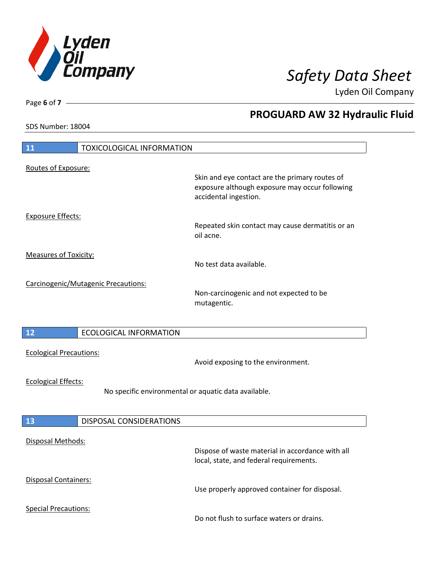

**PROGUARD AW 32 Hydraulic Fluid**

Lyden Oil Company

SDS Number: 18004

| 11                             | <b>TOXICOLOGICAL INFORMATION</b>                     |                                                                                                                           |
|--------------------------------|------------------------------------------------------|---------------------------------------------------------------------------------------------------------------------------|
| Routes of Exposure:            |                                                      |                                                                                                                           |
|                                |                                                      | Skin and eye contact are the primary routes of<br>exposure although exposure may occur following<br>accidental ingestion. |
| <b>Exposure Effects:</b>       |                                                      | Repeated skin contact may cause dermatitis or an<br>oil acne.                                                             |
| <b>Measures of Toxicity:</b>   |                                                      | No test data available.                                                                                                   |
|                                | Carcinogenic/Mutagenic Precautions:                  | Non-carcinogenic and not expected to be<br>mutagentic.                                                                    |
| 12                             | <b>ECOLOGICAL INFORMATION</b>                        |                                                                                                                           |
| <b>Ecological Precautions:</b> |                                                      | Avoid exposing to the environment.                                                                                        |
|                                |                                                      |                                                                                                                           |
| <b>Ecological Effects:</b>     | No specific environmental or aquatic data available. |                                                                                                                           |
| 13                             | DISPOSAL CONSIDERATIONS                              |                                                                                                                           |
| Disposal Methods:              |                                                      | Dispose of waste material in accordance with all<br>local, state, and federal requirements.                               |
| Disposal Containers:           |                                                      | Use properly approved container for disposal.                                                                             |

Page **6** of **7**